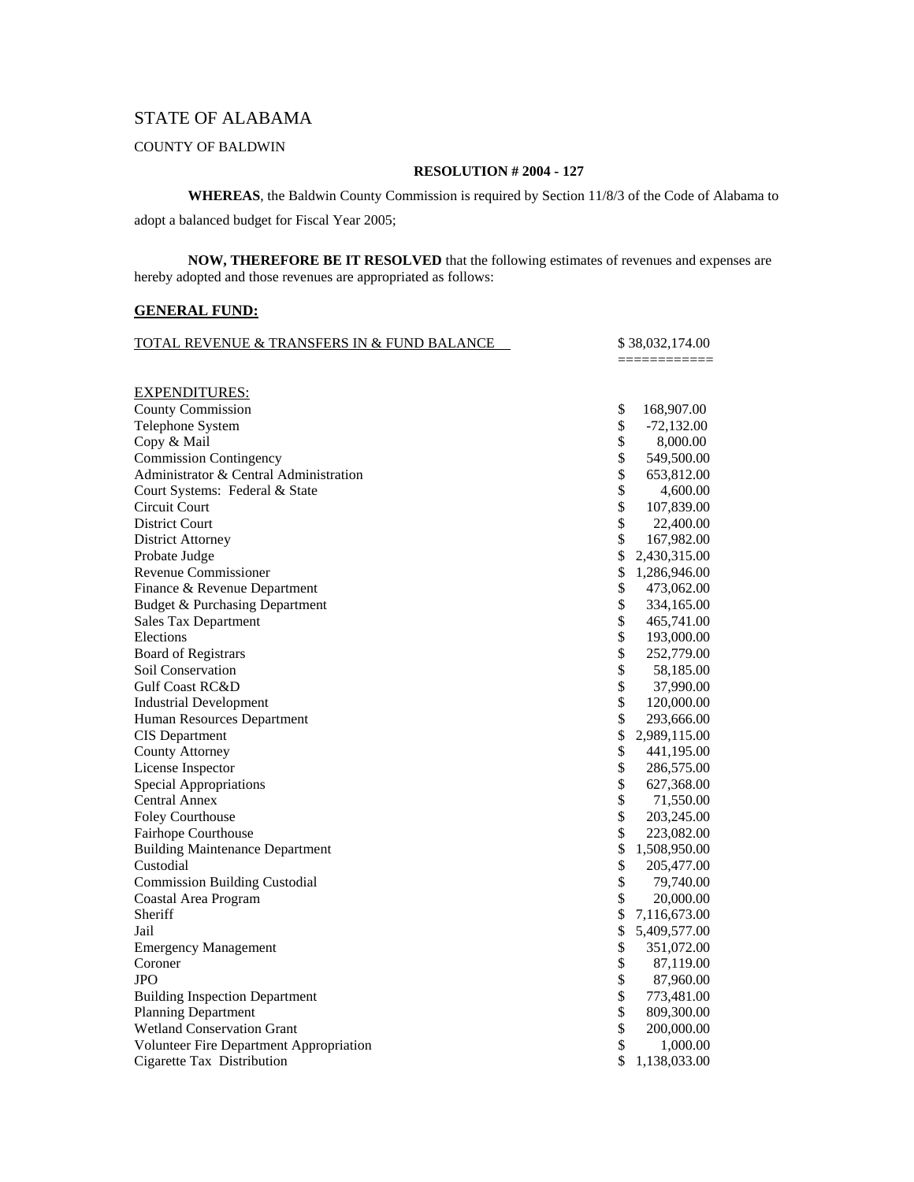## STATE OF ALABAMA

### COUNTY OF BALDWIN

#### **RESOLUTION # 2004 - 127**

**WHEREAS**, the Baldwin County Commission is required by Section 11/8/3 of the Code of Alabama to

adopt a balanced budget for Fiscal Year 2005;

**NOW, THEREFORE BE IT RESOLVED** that the following estimates of revenues and expenses are hereby adopted and those revenues are appropriated as follows:

#### **GENERAL FUND:**

| <b>TOTAL REVENUE &amp; TRANSFERS IN &amp; FUND BALANCE</b> | \$38,032,174.00    |
|------------------------------------------------------------|--------------------|
|                                                            |                    |
| <b>EXPENDITURES:</b>                                       |                    |
| <b>County Commission</b>                                   | \$<br>168,907.00   |
| Telephone System                                           | \$<br>$-72,132.00$ |
| Copy & Mail                                                | \$<br>8,000.00     |
| <b>Commission Contingency</b>                              | \$<br>549,500.00   |
| Administrator & Central Administration                     | \$<br>653,812.00   |
| Court Systems: Federal & State                             | \$<br>4,600.00     |
| Circuit Court                                              | \$<br>107,839.00   |
| <b>District Court</b>                                      | \$<br>22,400.00    |
| <b>District Attorney</b>                                   | \$<br>167,982.00   |
| Probate Judge                                              | \$<br>2,430,315.00 |
| <b>Revenue Commissioner</b>                                | \$<br>1,286,946.00 |
| Finance & Revenue Department                               | \$<br>473,062.00   |
| Budget & Purchasing Department                             | \$<br>334,165.00   |
| <b>Sales Tax Department</b>                                | \$<br>465,741.00   |
| Elections                                                  | \$<br>193,000.00   |
| <b>Board of Registrars</b>                                 | \$<br>252,779.00   |
| <b>Soil Conservation</b>                                   | \$<br>58,185.00    |
| <b>Gulf Coast RC&amp;D</b>                                 | \$<br>37,990.00    |
| <b>Industrial Development</b>                              | \$<br>120,000.00   |
| Human Resources Department                                 | \$<br>293,666.00   |
| <b>CIS</b> Department                                      | \$<br>2,989,115.00 |
| <b>County Attorney</b>                                     | \$<br>441,195.00   |
| License Inspector                                          | \$<br>286,575.00   |
| <b>Special Appropriations</b>                              | \$<br>627,368.00   |
| Central Annex                                              | \$<br>71,550.00    |
| Foley Courthouse                                           | \$<br>203,245.00   |
| Fairhope Courthouse                                        | \$<br>223,082.00   |
| <b>Building Maintenance Department</b>                     | \$<br>1,508,950.00 |
| Custodial                                                  | \$<br>205,477.00   |
| <b>Commission Building Custodial</b>                       | \$<br>79,740.00    |
| Coastal Area Program                                       | \$<br>20,000.00    |
| Sheriff                                                    | \$<br>7,116,673.00 |
| Jail                                                       | \$<br>5,409,577.00 |
| <b>Emergency Management</b>                                | \$<br>351,072.00   |
| Coroner                                                    | \$<br>87,119.00    |
| JPO                                                        | \$<br>87,960.00    |
| <b>Building Inspection Department</b>                      | \$<br>773,481.00   |
| <b>Planning Department</b>                                 | \$<br>809,300.00   |
| Wetland Conservation Grant                                 | \$<br>200,000.00   |
| Volunteer Fire Department Appropriation                    | \$<br>1,000.00     |
| Cigarette Tax Distribution                                 | \$<br>1,138,033.00 |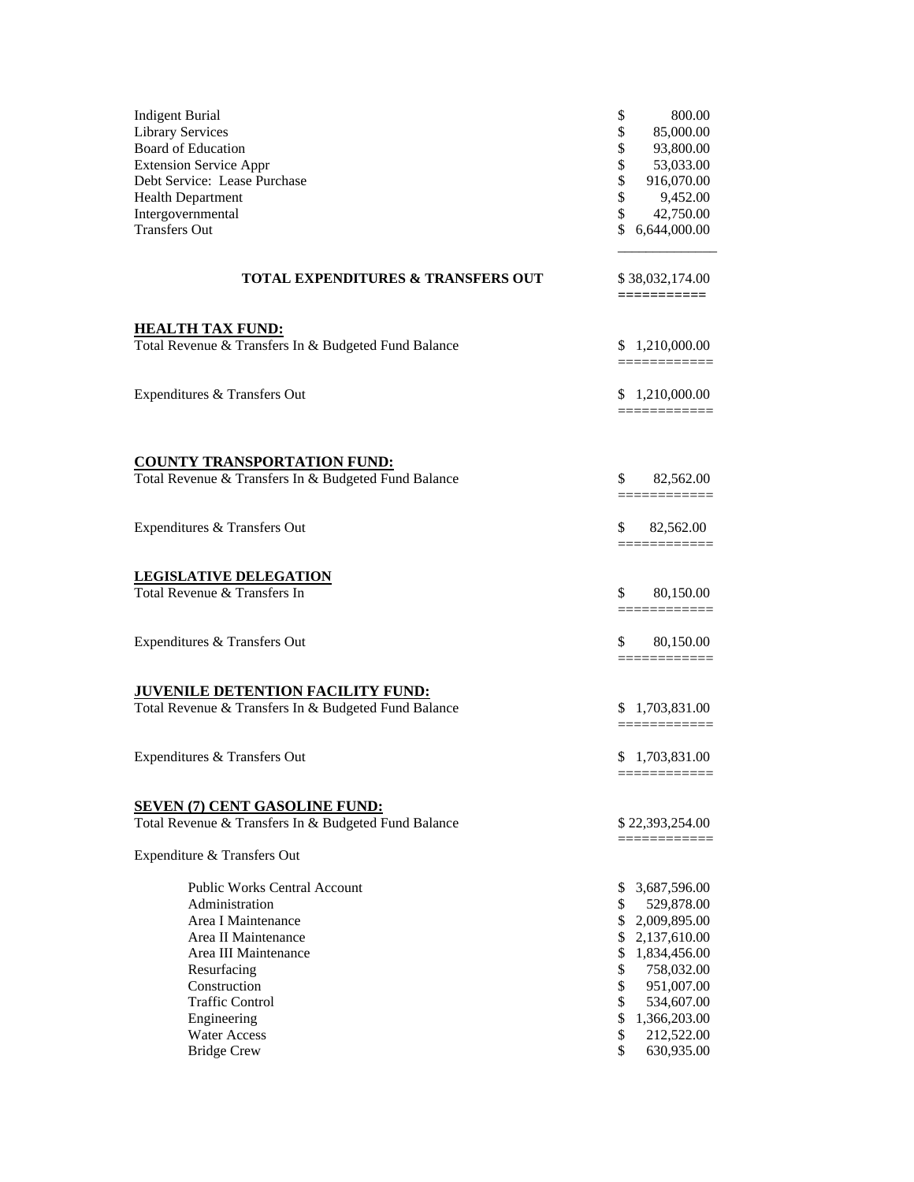| <b>Indigent Burial</b><br><b>Library Services</b><br>Board of Education<br><b>Extension Service Appr</b><br>Debt Service: Lease Purchase<br><b>Health Department</b><br>Intergovernmental<br><b>Transfers Out</b> | \$<br>800.00<br>\$<br>85,000.00<br>\$<br>93,800.00<br>\$<br>53,033.00<br>\$<br>916,070.00<br>\$<br>9,452.00<br>\$<br>42,750.00<br>\$<br>6,644,000.00 |
|-------------------------------------------------------------------------------------------------------------------------------------------------------------------------------------------------------------------|------------------------------------------------------------------------------------------------------------------------------------------------------|
| <b>TOTAL EXPENDITURES &amp; TRANSFERS OUT</b>                                                                                                                                                                     | \$38,032,174.00<br>$=$ ===========                                                                                                                   |
| <b>HEALTH TAX FUND:</b><br>Total Revenue & Transfers In & Budgeted Fund Balance                                                                                                                                   | \$1,210,000.00<br>___________                                                                                                                        |
| Expenditures & Transfers Out                                                                                                                                                                                      | \$1,210,000.00                                                                                                                                       |
|                                                                                                                                                                                                                   |                                                                                                                                                      |
| <b>COUNTY TRANSPORTATION FUND:</b><br>Total Revenue & Transfers In & Budgeted Fund Balance                                                                                                                        | \$<br>82,562.00                                                                                                                                      |
| Expenditures & Transfers Out                                                                                                                                                                                      | \$<br>82,562.00                                                                                                                                      |
| <b>LEGISLATIVE DELEGATION</b>                                                                                                                                                                                     |                                                                                                                                                      |
| Total Revenue & Transfers In                                                                                                                                                                                      | \$<br>80,150.00<br>=============                                                                                                                     |
| Expenditures & Transfers Out                                                                                                                                                                                      | \$<br>80,150.00                                                                                                                                      |
| JUVENILE DETENTION FACILITY FUND:                                                                                                                                                                                 |                                                                                                                                                      |
| Total Revenue & Transfers In & Budgeted Fund Balance                                                                                                                                                              | \$1,703,831.00                                                                                                                                       |
| Expenditures & Transfers Out                                                                                                                                                                                      | \$1,703,831.00                                                                                                                                       |
| <b>SEVEN (7) CENT GASOLINE FUND:</b>                                                                                                                                                                              |                                                                                                                                                      |
| Total Revenue & Transfers In & Budgeted Fund Balance                                                                                                                                                              | \$22,393,254.00                                                                                                                                      |
| Expenditure & Transfers Out                                                                                                                                                                                       | ==========                                                                                                                                           |
| <b>Public Works Central Account</b>                                                                                                                                                                               | 3,687,596.00<br>\$                                                                                                                                   |
| Administration                                                                                                                                                                                                    | \$<br>529,878.00                                                                                                                                     |
| Area I Maintenance<br>Area II Maintenance                                                                                                                                                                         | \$2,009,895.00<br>2,137,610.00<br>\$                                                                                                                 |
| Area III Maintenance                                                                                                                                                                                              | \$<br>1,834,456.00                                                                                                                                   |
| Resurfacing                                                                                                                                                                                                       | \$<br>758,032.00                                                                                                                                     |
| Construction                                                                                                                                                                                                      | \$<br>951,007.00                                                                                                                                     |
| <b>Traffic Control</b>                                                                                                                                                                                            | \$<br>534,607.00                                                                                                                                     |
| Engineering                                                                                                                                                                                                       | \$<br>1,366,203.00                                                                                                                                   |
| Water Access                                                                                                                                                                                                      | \$<br>212,522.00                                                                                                                                     |
| <b>Bridge Crew</b>                                                                                                                                                                                                | \$<br>630,935.00                                                                                                                                     |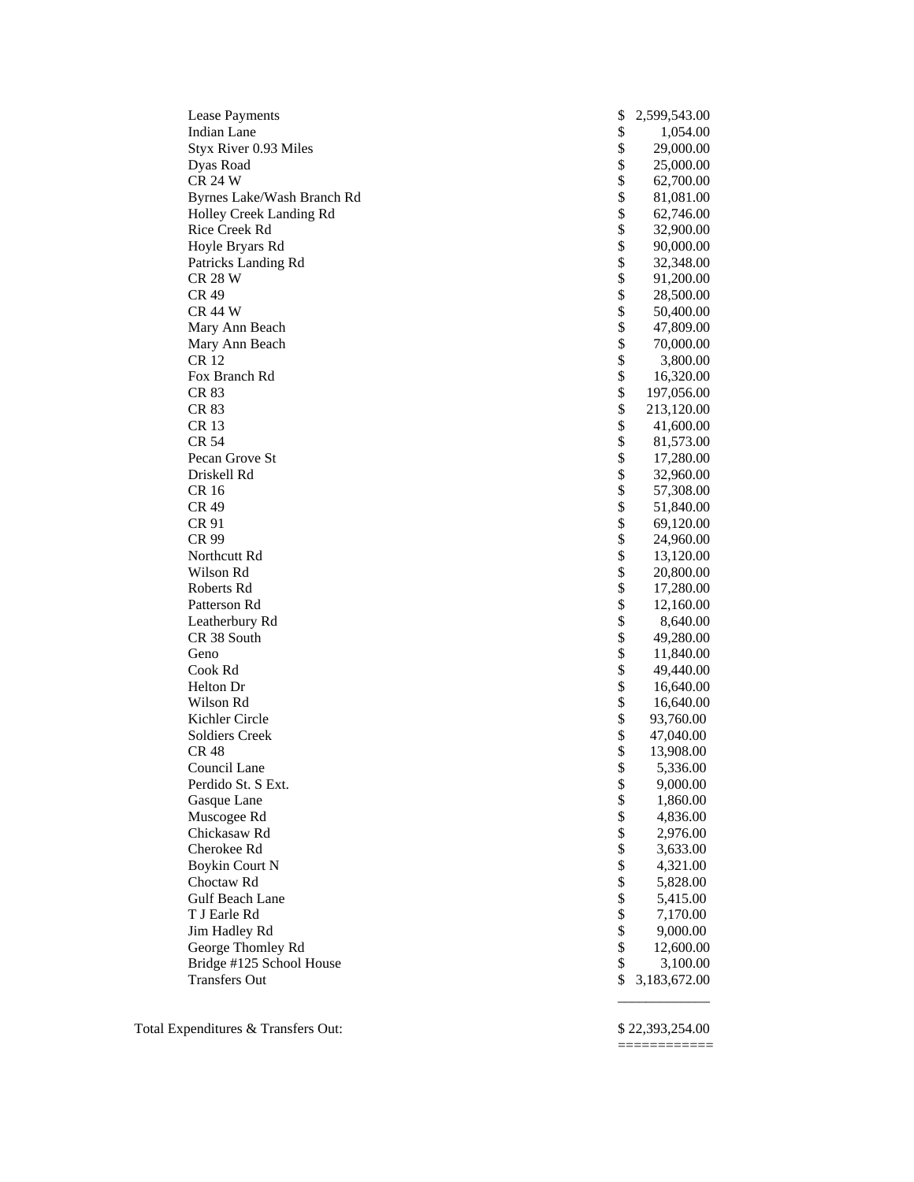| <b>Lease Payments</b>      | \$<br>2,599,543.00 |
|----------------------------|--------------------|
| <b>Indian Lane</b>         | \$<br>1,054.00     |
| Styx River 0.93 Miles      | \$<br>29,000.00    |
| Dyas Road                  | \$<br>25,000.00    |
| <b>CR 24 W</b>             | \$<br>62,700.00    |
| Byrnes Lake/Wash Branch Rd | \$<br>81,081.00    |
| Holley Creek Landing Rd    | \$<br>62,746.00    |
| Rice Creek Rd              | \$<br>32,900.00    |
| Hoyle Bryars Rd            | \$<br>90,000.00    |
| Patricks Landing Rd        | \$<br>32,348.00    |
| <b>CR 28 W</b>             | \$<br>91,200.00    |
| CR 49                      | \$<br>28,500.00    |
| <b>CR 44 W</b>             | \$<br>50,400.00    |
| Mary Ann Beach             | \$<br>47,809.00    |
| Mary Ann Beach             | \$<br>70,000.00    |
| <b>CR12</b>                | \$<br>3,800.00     |
| Fox Branch Rd              | \$<br>16,320.00    |
| CR 83                      | \$<br>197,056.00   |
| CR 83                      | \$<br>213,120.00   |
| CR 13                      | \$                 |
| <b>CR 54</b>               | \$<br>41,600.00    |
|                            | \$<br>81,573.00    |
| Pecan Grove St             | \$<br>17,280.00    |
| Driskell Rd                | 32,960.00          |
| <b>CR16</b>                | \$<br>57,308.00    |
| <b>CR 49</b>               | \$<br>51,840.00    |
| CR 91                      | \$<br>69,120.00    |
| CR 99                      | \$<br>24,960.00    |
| Northcutt Rd               | \$<br>13,120.00    |
| Wilson Rd                  | \$<br>20,800.00    |
| Roberts Rd                 | \$<br>17,280.00    |
| Patterson Rd               | \$<br>12,160.00    |
| Leatherbury Rd             | \$<br>8,640.00     |
| CR 38 South                | \$<br>49,280.00    |
| Geno                       | \$<br>11,840.00    |
| Cook Rd                    | \$<br>49,440.00    |
| Helton Dr                  | \$<br>16,640.00    |
| Wilson Rd                  | \$<br>16,640.00    |
| Kichler Circle             | \$<br>93,760.00    |
| <b>Soldiers Creek</b>      | \$<br>47,040.00    |
| <b>CR 48</b>               | \$<br>13,908.00    |
| Council Lane               | \$<br>5,336.00     |
| Perdido St. S Ext.         | \$<br>9,000.00     |
| Gasque Lane                | \$<br>1,860.00     |
| Muscogee Rd                | \$<br>4,836.00     |
| Chickasaw Rd               | \$<br>2,976.00     |
| Cherokee Rd                | \$<br>3,633.00     |
| <b>Boykin Court N</b>      | \$<br>4,321.00     |
| Choctaw Rd                 | \$<br>5,828.00     |
| Gulf Beach Lane            | \$<br>5,415.00     |
| T J Earle Rd               | \$<br>7,170.00     |
| Jim Hadley Rd              | \$<br>9,000.00     |
| George Thomley Rd          | \$<br>12,600.00    |
| Bridge #125 School House   | \$<br>3,100.00     |
| <b>Transfers Out</b>       | \$<br>3,183,672.00 |
|                            |                    |

Total Expenditures & Transfers Out: \$ 22,393,254.00

============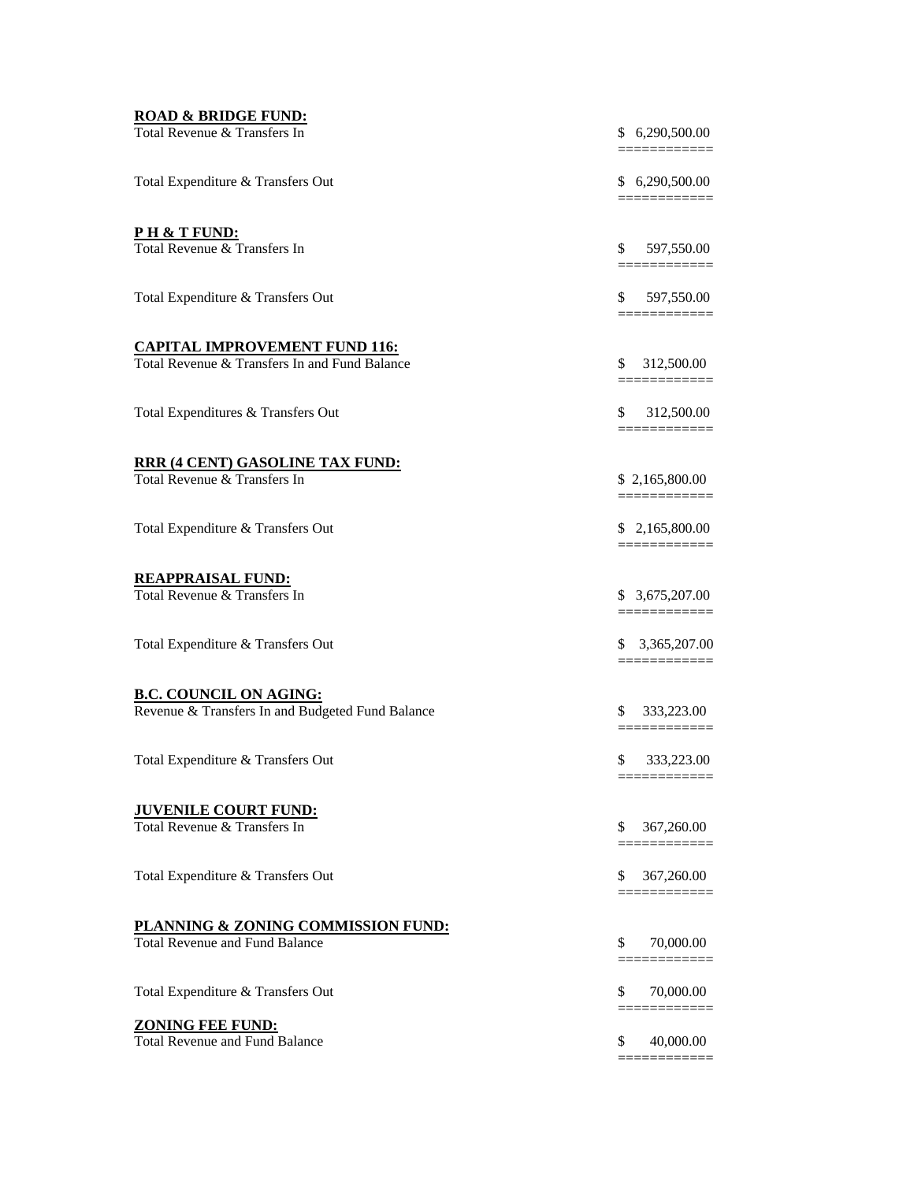| \$ 6,290,500.00<br>==========<br>\$<br>597,550.00<br>\$ 597,550.00<br><u> ===========</u><br>\$312,500.00<br>=============<br>\$312,500.00<br><u> =========</u><br>\$2,165,800.00<br>=============<br>\$2,165,800.00<br>============<br>\$3,675,207.00<br>=============<br>\$3,365,207.00<br>===========<br>\$<br>333,223.00<br>=============<br>\$<br>333,223.00<br>\$<br>367,260.00<br>---------<br>\$<br>367,260.00<br>\$<br>70,000.00<br>\$<br>70,000.00<br>\$<br>40,000.00 | <b>ROAD &amp; BRIDGE FUND:</b><br>Total Revenue & Transfers In                        | \$ 6,290,500.00<br>========= |
|---------------------------------------------------------------------------------------------------------------------------------------------------------------------------------------------------------------------------------------------------------------------------------------------------------------------------------------------------------------------------------------------------------------------------------------------------------------------------------|---------------------------------------------------------------------------------------|------------------------------|
|                                                                                                                                                                                                                                                                                                                                                                                                                                                                                 | Total Expenditure & Transfers Out                                                     |                              |
|                                                                                                                                                                                                                                                                                                                                                                                                                                                                                 | <u>PH &amp; T FUND:</u><br>Total Revenue & Transfers In                               |                              |
|                                                                                                                                                                                                                                                                                                                                                                                                                                                                                 | Total Expenditure & Transfers Out                                                     |                              |
|                                                                                                                                                                                                                                                                                                                                                                                                                                                                                 | <b>CAPITAL IMPROVEMENT FUND 116:</b><br>Total Revenue & Transfers In and Fund Balance |                              |
|                                                                                                                                                                                                                                                                                                                                                                                                                                                                                 | Total Expenditures & Transfers Out                                                    |                              |
|                                                                                                                                                                                                                                                                                                                                                                                                                                                                                 | <b>RRR (4 CENT) GASOLINE TAX FUND:</b><br>Total Revenue & Transfers In                |                              |
|                                                                                                                                                                                                                                                                                                                                                                                                                                                                                 | Total Expenditure & Transfers Out                                                     |                              |
|                                                                                                                                                                                                                                                                                                                                                                                                                                                                                 | <b>REAPPRAISAL FUND:</b><br>Total Revenue & Transfers In                              |                              |
|                                                                                                                                                                                                                                                                                                                                                                                                                                                                                 | Total Expenditure & Transfers Out                                                     |                              |
|                                                                                                                                                                                                                                                                                                                                                                                                                                                                                 | <b>B.C. COUNCIL ON AGING:</b><br>Revenue & Transfers In and Budgeted Fund Balance     |                              |
|                                                                                                                                                                                                                                                                                                                                                                                                                                                                                 | Total Expenditure & Transfers Out                                                     |                              |
|                                                                                                                                                                                                                                                                                                                                                                                                                                                                                 | <b>JUVENILE COURT FUND:</b><br>Total Revenue & Transfers In                           |                              |
|                                                                                                                                                                                                                                                                                                                                                                                                                                                                                 | Total Expenditure & Transfers Out                                                     |                              |
|                                                                                                                                                                                                                                                                                                                                                                                                                                                                                 | PLANNING & ZONING COMMISSION FUND:<br><b>Total Revenue and Fund Balance</b>           |                              |
|                                                                                                                                                                                                                                                                                                                                                                                                                                                                                 | Total Expenditure & Transfers Out                                                     |                              |
|                                                                                                                                                                                                                                                                                                                                                                                                                                                                                 | <b>ZONING FEE FUND:</b><br><b>Total Revenue and Fund Balance</b>                      |                              |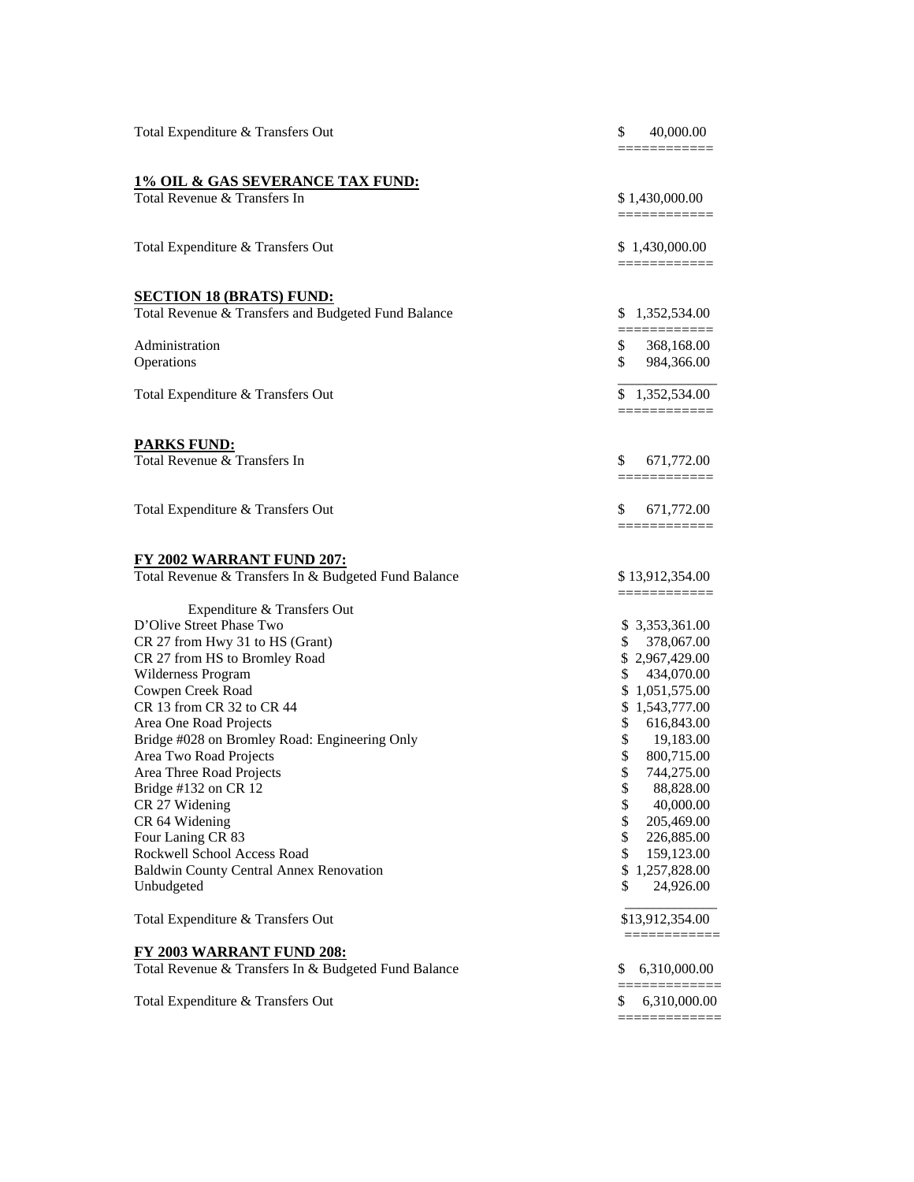| Total Expenditure & Transfers Out                    | \$<br>40,000.00                   |
|------------------------------------------------------|-----------------------------------|
|                                                      |                                   |
| <b>1% OIL &amp; GAS SEVERANCE TAX FUND:</b>          |                                   |
| Total Revenue & Transfers In                         | \$1,430,000.00<br>============    |
| Total Expenditure & Transfers Out                    | \$1,430,000.00<br>=============   |
| <b>SECTION 18 (BRATS) FUND:</b>                      |                                   |
| Total Revenue & Transfers and Budgeted Fund Balance  | \$ 1,352,534.00                   |
| Administration                                       | \$<br>368,168.00                  |
| Operations                                           | \$<br>984,366.00                  |
| Total Expenditure & Transfers Out                    | \$1,352,534.00<br>============    |
| <b>PARKS FUND:</b>                                   |                                   |
| Total Revenue & Transfers In                         | \$<br>671,772.00<br>============= |
| Total Expenditure & Transfers Out                    | \$<br>671,772.00<br>============  |
| <b>FY 2002 WARRANT FUND 207:</b>                     |                                   |
| Total Revenue & Transfers In & Budgeted Fund Balance | \$13,912,354.00<br>============   |
| Expenditure & Transfers Out                          |                                   |
| D'Olive Street Phase Two                             | \$ 3,353,361.00                   |
| CR 27 from Hwy 31 to HS (Grant)                      | \$<br>378,067.00                  |
| CR 27 from HS to Bromley Road                        | \$2,967,429.00<br>\$              |
| Wilderness Program<br>Cowpen Creek Road              | 434,070.00<br>\$1,051,575.00      |
| CR 13 from CR 32 to CR 44                            | \$1,543,777.00                    |
| Area One Road Projects                               | \$<br>616,843.00                  |
| Bridge #028 on Bromley Road: Engineering Only        | \$<br>19,183.00                   |
| Area Two Road Projects                               | \$<br>800,715.00                  |
| Area Three Road Projects                             | \$<br>744,275.00                  |
| Bridge #132 on CR 12                                 | 88,828.00                         |
| CR 27 Widening                                       | \$<br>40,000.00                   |
| CR 64 Widening                                       | \$<br>205,469.00                  |
| Four Laning CR 83                                    | \$<br>226,885.00                  |
| Rockwell School Access Road                          | \$<br>159,123.00                  |
| Baldwin County Central Annex Renovation              | \$1,257,828.00                    |
| Unbudgeted                                           | \$<br>24,926.00                   |
| Total Expenditure & Transfers Out                    | \$13,912,354.00<br>=============  |
| FY 2003 WARRANT FUND 208:                            |                                   |
| Total Revenue & Transfers In & Budgeted Fund Balance | 6,310,000.00<br>\$                |
| Total Expenditure & Transfers Out                    | \$<br>6,310,000.00                |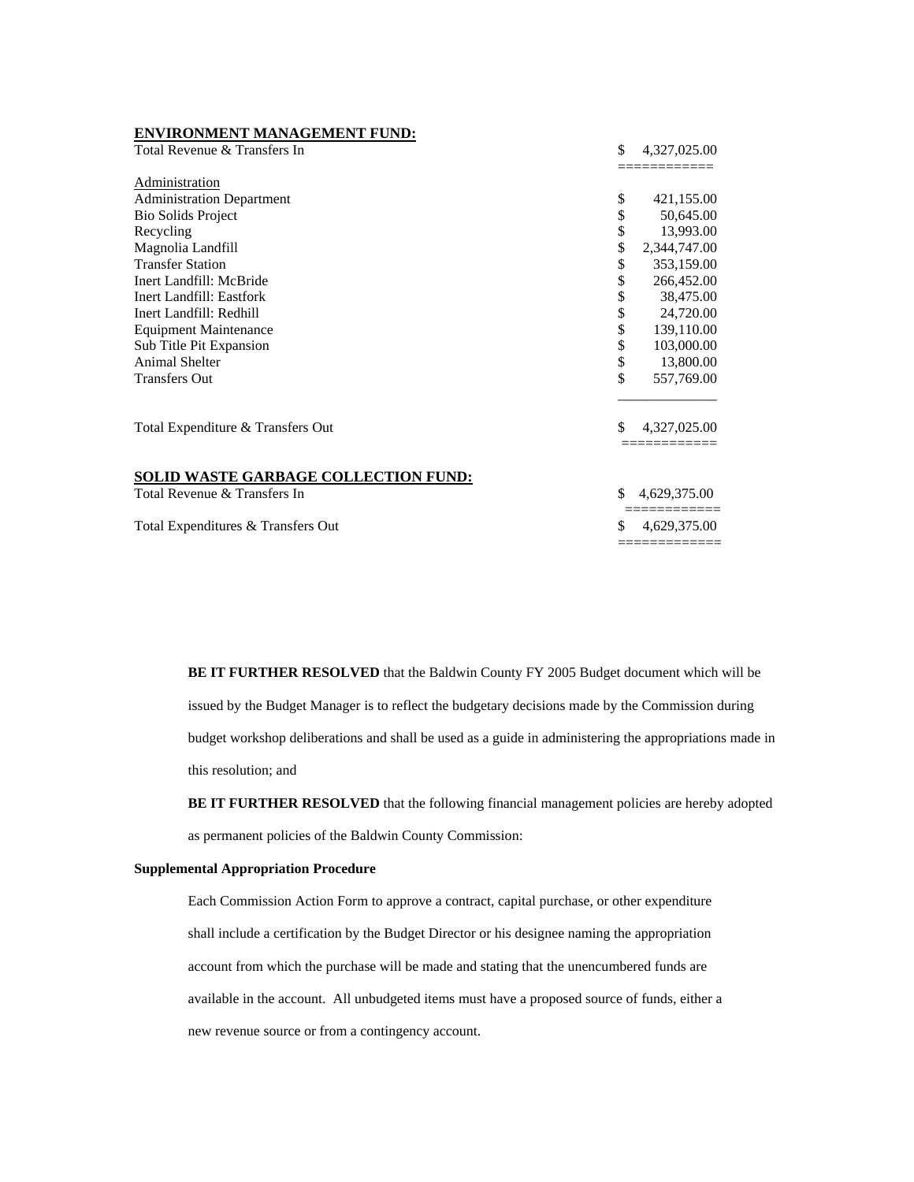| <b>ENVIRONMENT MANAGEMENT FUND:</b>                                         |                    |
|-----------------------------------------------------------------------------|--------------------|
| Total Revenue & Transfers In                                                | \$<br>4,327,025.00 |
|                                                                             |                    |
| Administration                                                              |                    |
| <b>Administration Department</b>                                            | \$<br>421,155.00   |
| <b>Bio Solids Project</b>                                                   | 50,645.00          |
| Recycling                                                                   | \$<br>13,993.00    |
| Magnolia Landfill                                                           | \$<br>2,344,747.00 |
| <b>Transfer Station</b>                                                     | \$<br>353,159.00   |
| Inert Landfill: McBride                                                     | \$<br>266,452.00   |
| Inert Landfill: Eastfork                                                    | \$<br>38,475.00    |
| Inert Landfill: Redhill                                                     | \$<br>24,720.00    |
| <b>Equipment Maintenance</b>                                                | \$<br>139,110.00   |
| Sub Title Pit Expansion                                                     | \$<br>103,000.00   |
| <b>Animal Shelter</b>                                                       | \$<br>13,800.00    |
| <b>Transfers Out</b>                                                        | \$<br>557,769.00   |
| Total Expenditure & Transfers Out                                           | \$<br>4,327,025.00 |
| <b>SOLID WASTE GARBAGE COLLECTION FUND:</b><br>Total Revenue & Transfers In | 4,629,375.00       |
| Total Expenditures & Transfers Out                                          | 4,629,375.00       |

**BE IT FURTHER RESOLVED** that the Baldwin County FY 2005 Budget document which will be issued by the Budget Manager is to reflect the budgetary decisions made by the Commission during budget workshop deliberations and shall be used as a guide in administering the appropriations made in this resolution; and

**BE IT FURTHER RESOLVED** that the following financial management policies are hereby adopted

as permanent policies of the Baldwin County Commission:

#### **Supplemental Appropriation Procedure**

 Each Commission Action Form to approve a contract, capital purchase, or other expenditure shall include a certification by the Budget Director or his designee naming the appropriation account from which the purchase will be made and stating that the unencumbered funds are available in the account. All unbudgeted items must have a proposed source of funds, either a new revenue source or from a contingency account.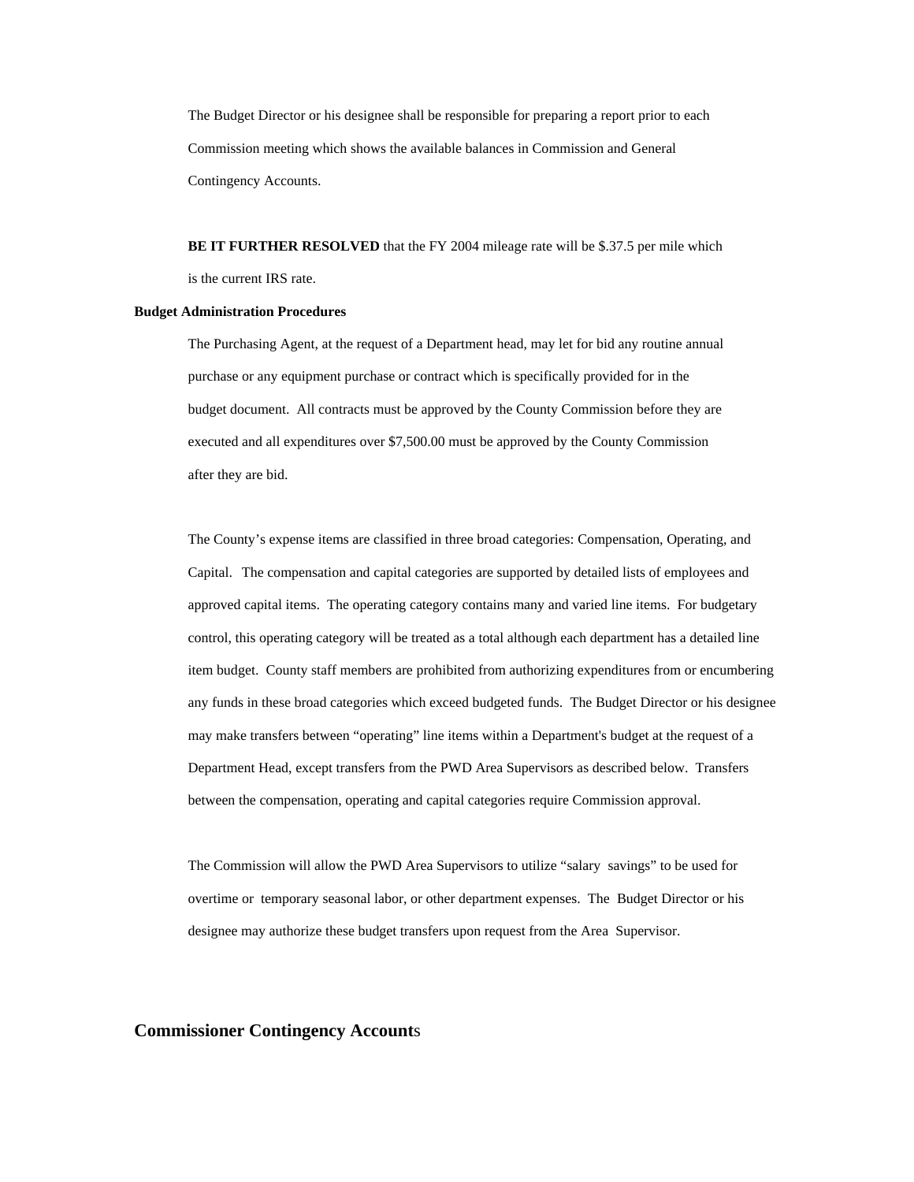The Budget Director or his designee shall be responsible for preparing a report prior to each Commission meeting which shows the available balances in Commission and General Contingency Accounts.

 **BE IT FURTHER RESOLVED** that the FY 2004 mileage rate will be \$.37.5 per mile which is the current IRS rate.

#### **Budget Administration Procedures**

 The Purchasing Agent, at the request of a Department head, may let for bid any routine annual purchase or any equipment purchase or contract which is specifically provided for in the budget document. All contracts must be approved by the County Commission before they are executed and all expenditures over \$7,500.00 must be approved by the County Commission after they are bid.

The County's expense items are classified in three broad categories: Compensation, Operating, and Capital. The compensation and capital categories are supported by detailed lists of employees and approved capital items. The operating category contains many and varied line items. For budgetary control, this operating category will be treated as a total although each department has a detailed line item budget. County staff members are prohibited from authorizing expenditures from or encumbering any funds in these broad categories which exceed budgeted funds. The Budget Director or his designee may make transfers between "operating" line items within a Department's budget at the request of a Department Head, except transfers from the PWD Area Supervisors as described below. Transfers between the compensation, operating and capital categories require Commission approval.

The Commission will allow the PWD Area Supervisors to utilize "salary savings" to be used for overtime or temporary seasonal labor, or other department expenses. The Budget Director or his designee may authorize these budget transfers upon request from the Area Supervisor.

**Commissioner Contingency Account**s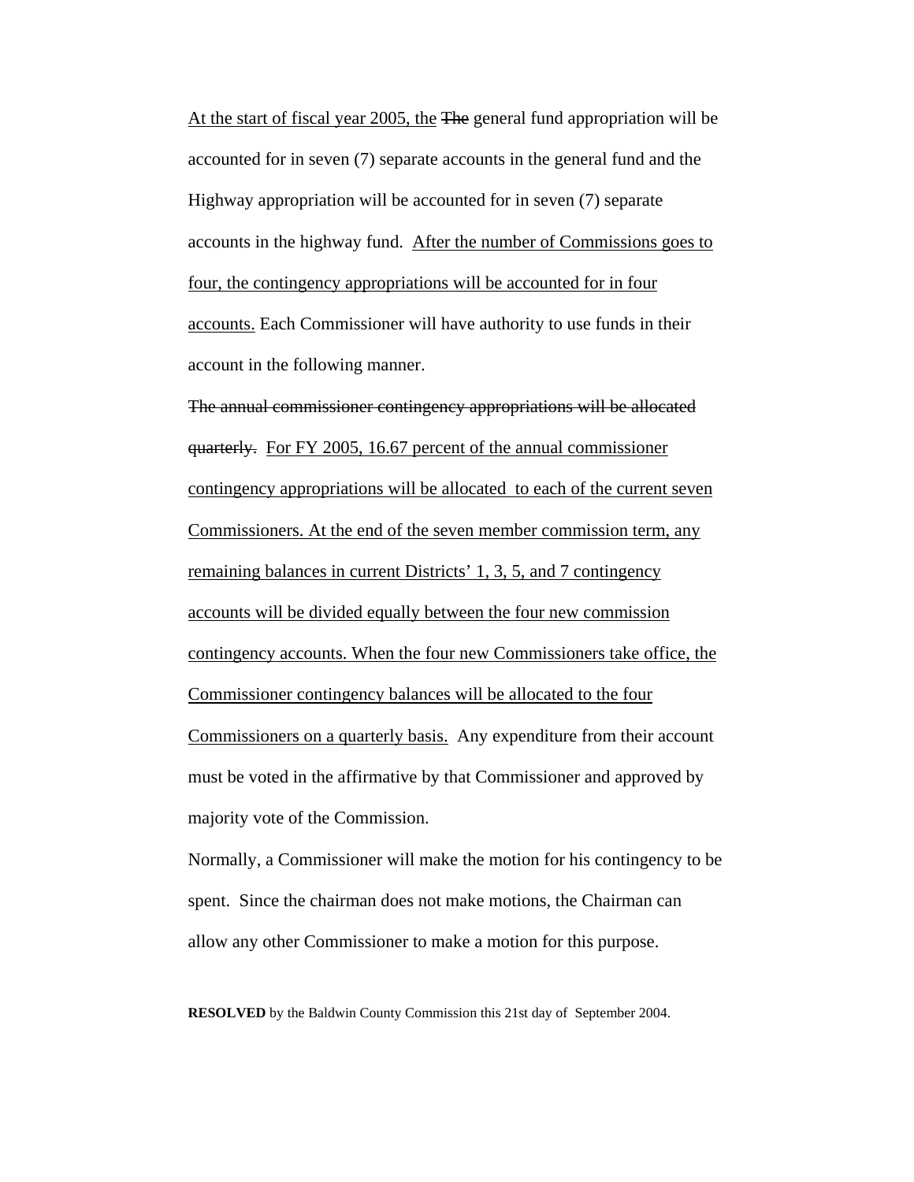At the start of fiscal year 2005, the The general fund appropriation will be accounted for in seven (7) separate accounts in the general fund and the Highway appropriation will be accounted for in seven (7) separate accounts in the highway fund. After the number of Commissions goes to four, the contingency appropriations will be accounted for in four accounts. Each Commissioner will have authority to use funds in their account in the following manner.

The annual commissioner contingency appropriations will be allocated quarterly. For FY 2005, 16.67 percent of the annual commissioner contingency appropriations will be allocated to each of the current seven Commissioners. At the end of the seven member commission term, any remaining balances in current Districts' 1, 3, 5, and 7 contingency accounts will be divided equally between the four new commission contingency accounts. When the four new Commissioners take office, the Commissioner contingency balances will be allocated to the four Commissioners on a quarterly basis. Any expenditure from their account must be voted in the affirmative by that Commissioner and approved by majority vote of the Commission.

 Normally, a Commissioner will make the motion for his contingency to be spent. Since the chairman does not make motions, the Chairman can allow any other Commissioner to make a motion for this purpose.

**RESOLVED** by the Baldwin County Commission this 21st day of September 2004.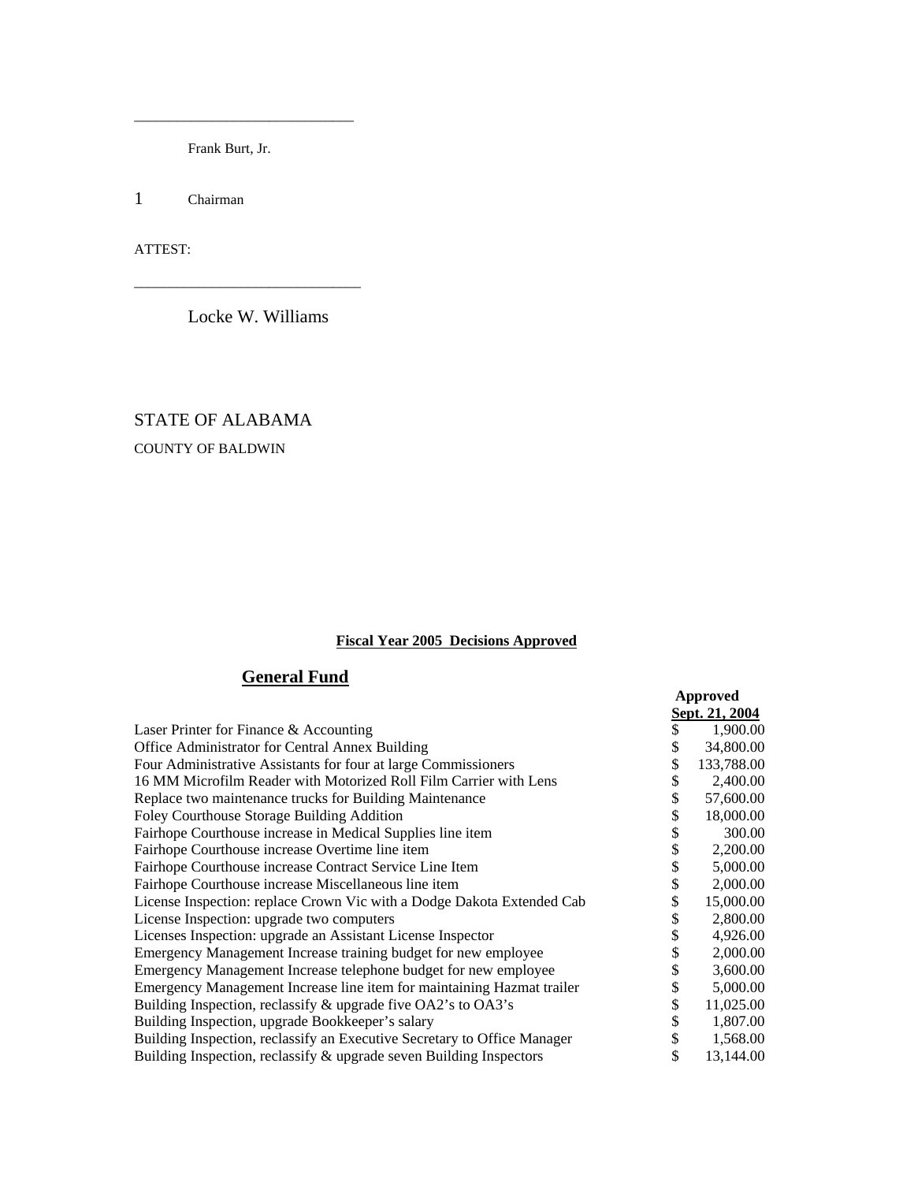Frank Burt, Jr.

\_\_\_\_\_\_\_\_\_\_\_\_\_\_\_\_\_\_\_\_\_\_\_\_\_\_\_\_\_\_\_

1 Chairman

ATTEST:

Locke W. Williams

\_\_\_\_\_\_\_\_\_\_\_\_\_\_\_\_\_\_\_\_\_\_\_\_\_\_\_\_\_\_\_\_

# STATE OF ALABAMA COUNTY OF BALDWIN

### **Fiscal Year 2005 Decisions Approved**

## **General Fund**

|                                                                          |    | Approved              |
|--------------------------------------------------------------------------|----|-----------------------|
|                                                                          |    | <u>Sept. 21, 2004</u> |
| Laser Printer for Finance & Accounting                                   |    | 1,900.00              |
| Office Administrator for Central Annex Building                          |    | 34,800.00             |
| Four Administrative Assistants for four at large Commissioners           |    | 133,788.00            |
| 16 MM Microfilm Reader with Motorized Roll Film Carrier with Lens        |    | 2,400.00              |
| Replace two maintenance trucks for Building Maintenance                  |    | 57,600.00             |
| Foley Courthouse Storage Building Addition                               | \$ | 18,000.00             |
| Fairhope Courthouse increase in Medical Supplies line item               |    | 300.00                |
| Fairhope Courthouse increase Overtime line item                          |    | 2,200.00              |
| Fairhope Courthouse increase Contract Service Line Item                  |    | 5,000.00              |
| Fairhope Courthouse increase Miscellaneous line item                     |    | 2,000.00              |
| License Inspection: replace Crown Vic with a Dodge Dakota Extended Cab   |    | 15,000.00             |
| License Inspection: upgrade two computers                                |    | 2,800.00              |
| Licenses Inspection: upgrade an Assistant License Inspector              | \$ | 4,926.00              |
| Emergency Management Increase training budget for new employee           |    | 2,000.00              |
| Emergency Management Increase telephone budget for new employee          |    | 3,600.00              |
| Emergency Management Increase line item for maintaining Hazmat trailer   |    | 5,000.00              |
| Building Inspection, reclassify & upgrade five OA2's to OA3's            |    | 11,025.00             |
| Building Inspection, upgrade Bookkeeper's salary                         |    | 1,807.00              |
| Building Inspection, reclassify an Executive Secretary to Office Manager | S  | 1,568.00              |
| Building Inspection, reclassify & upgrade seven Building Inspectors      | \$ | 13,144.00             |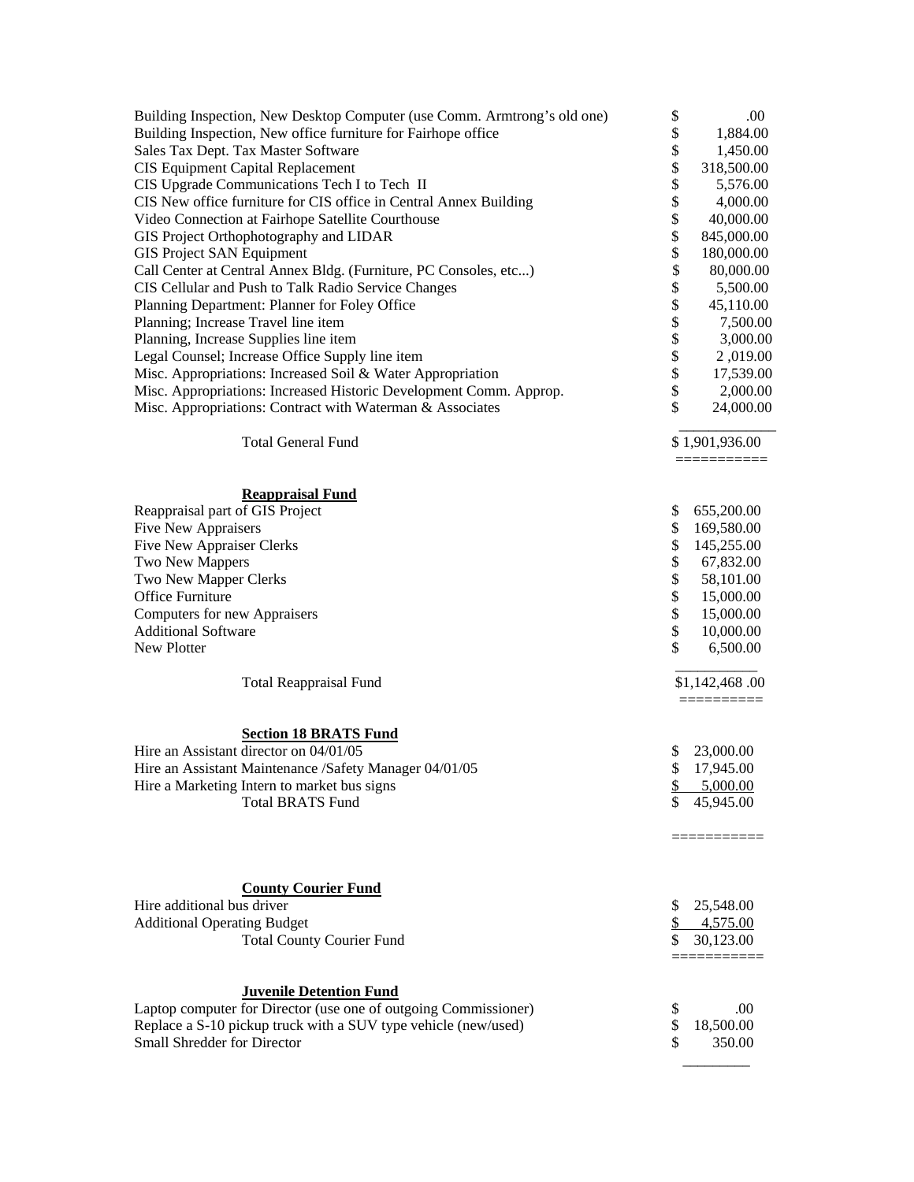| Building Inspection, New Desktop Computer (use Comm. Armtrong's old one) | \$        | .00            |
|--------------------------------------------------------------------------|-----------|----------------|
| Building Inspection, New office furniture for Fairhope office            | \$        | 1,884.00       |
| Sales Tax Dept. Tax Master Software                                      | \$        | 1,450.00       |
| CIS Equipment Capital Replacement                                        | \$        | 318,500.00     |
| CIS Upgrade Communications Tech I to Tech II                             | \$        | 5,576.00       |
| CIS New office furniture for CIS office in Central Annex Building        | \$        | 4,000.00       |
| Video Connection at Fairhope Satellite Courthouse                        | \$        | 40,000.00      |
| GIS Project Orthophotography and LIDAR                                   | \$        | 845,000.00     |
| <b>GIS Project SAN Equipment</b>                                         | \$        | 180,000.00     |
| Call Center at Central Annex Bldg. (Furniture, PC Consoles, etc)         | \$        | 80,000.00      |
| CIS Cellular and Push to Talk Radio Service Changes                      | \$        | 5,500.00       |
| Planning Department: Planner for Foley Office                            | \$        | 45,110.00      |
| Planning; Increase Travel line item                                      | \$        | 7,500.00       |
| Planning, Increase Supplies line item                                    | \$        | 3,000.00       |
| Legal Counsel; Increase Office Supply line item                          | \$        | 2,019.00       |
| Misc. Appropriations: Increased Soil & Water Appropriation               | \$        | 17,539.00      |
| Misc. Appropriations: Increased Historic Development Comm. Approp.       | \$        | 2,000.00       |
| Misc. Appropriations: Contract with Waterman & Associates                | \$        | 24,000.00      |
|                                                                          |           |                |
| <b>Total General Fund</b>                                                |           | \$1,901,936.00 |
|                                                                          |           | ===========    |
| <b>Reappraisal Fund</b>                                                  |           |                |
| Reappraisal part of GIS Project                                          | \$        | 655,200.00     |
| Five New Appraisers                                                      | \$        | 169,580.00     |
| Five New Appraiser Clerks                                                | \$        | 145,255.00     |
| Two New Mappers                                                          | \$        | 67,832.00      |
| Two New Mapper Clerks                                                    | \$        | 58,101.00      |
| Office Furniture                                                         | \$        | 15,000.00      |
| <b>Computers for new Appraisers</b>                                      | \$        | 15,000.00      |
| <b>Additional Software</b>                                               | \$        | 10,000.00      |
| New Plotter                                                              | \$        | 6,500.00       |
|                                                                          |           |                |
| <b>Total Reappraisal Fund</b>                                            |           | \$1,142,468.00 |
|                                                                          |           |                |
| <b>Section 18 BRATS Fund</b>                                             |           |                |
| Hire an Assistant director on 04/01/05                                   | \$        | 23,000.00      |
| Hire an Assistant Maintenance /Safety Manager 04/01/05                   | \$        | 17,945.00      |
| Hire a Marketing Intern to market bus signs                              | <u>\$</u> | 5,000.00       |
| <b>Total BRATS Fund</b>                                                  | \$        | 45,945.00      |
|                                                                          |           | ===========    |
|                                                                          |           |                |
|                                                                          |           |                |
| <b>County Courier Fund</b>                                               |           |                |
| Hire additional bus driver                                               | \$        | 25,548.00      |
| <b>Additional Operating Budget</b>                                       | \$        | 4,575.00       |
| <b>Total County Courier Fund</b>                                         | \$        | 30,123.00      |
|                                                                          |           |                |
| <b>Juvenile Detention Fund</b>                                           |           |                |
| Laptop computer for Director (use one of outgoing Commissioner)          | \$        | .00            |
| Replace a S-10 pickup truck with a SUV type vehicle (new/used)           | \$        | 18,500.00      |
| Small Shredder for Director                                              | \$        | 350.00         |

\_\_\_\_\_\_\_\_\_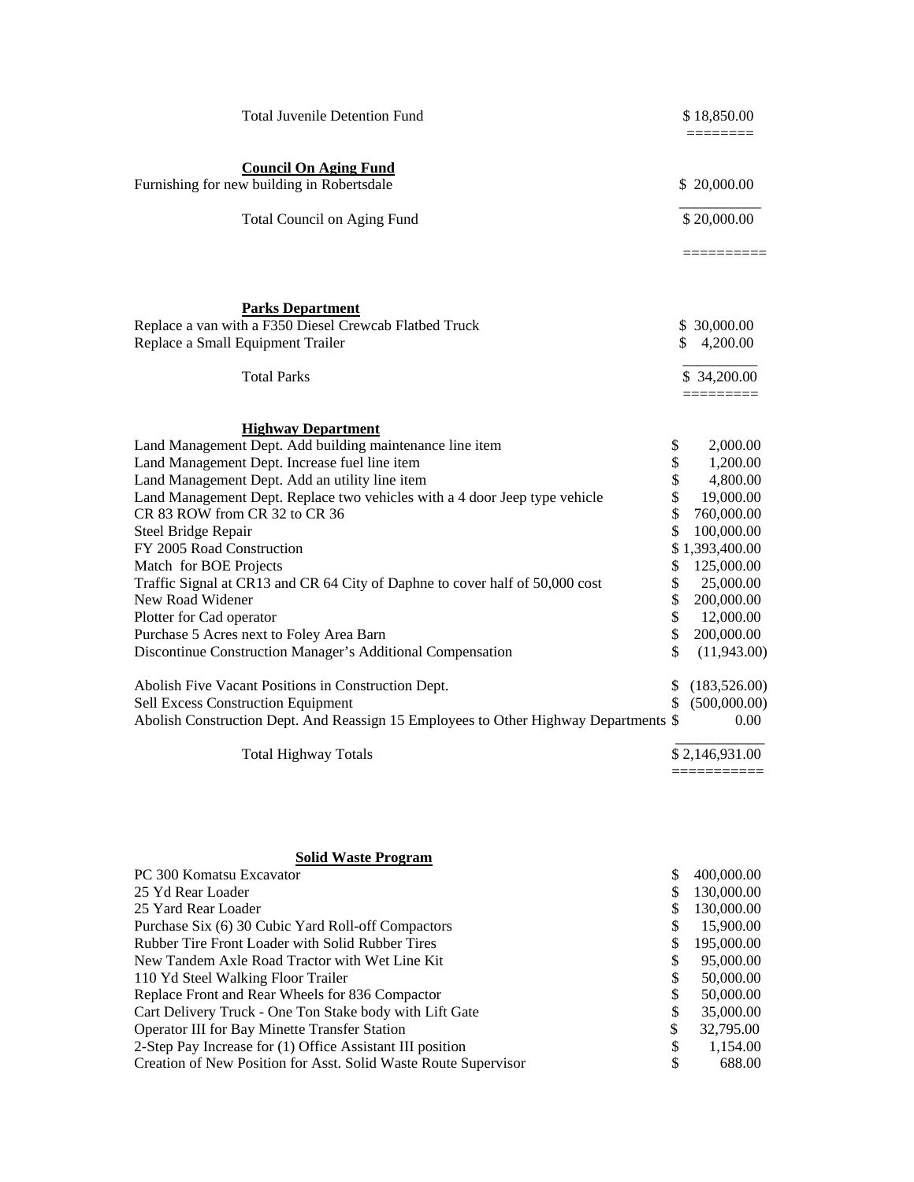| <b>Council On Aging Fund</b><br>Furnishing for new building in Robertsdale                                                               | \$20,000.00           |
|------------------------------------------------------------------------------------------------------------------------------------------|-----------------------|
| <b>Total Council on Aging Fund</b>                                                                                                       | \$20,000.00           |
|                                                                                                                                          |                       |
| <b>Parks Department</b>                                                                                                                  |                       |
| Replace a van with a F350 Diesel Crewcab Flatbed Truck                                                                                   | \$ 30,000.00          |
| Replace a Small Equipment Trailer                                                                                                        | \$<br>4,200.00        |
| <b>Total Parks</b>                                                                                                                       | \$ 34,200.00          |
|                                                                                                                                          |                       |
| <b>Highway Department</b>                                                                                                                |                       |
| Land Management Dept. Add building maintenance line item<br>\$                                                                           | 2,000.00              |
| \$<br>Land Management Dept. Increase fuel line item                                                                                      | 1,200.00              |
| \$<br>Land Management Dept. Add an utility line item<br>\$<br>Land Management Dept. Replace two vehicles with a 4 door Jeep type vehicle | 4,800.00<br>19,000.00 |
| CR 83 ROW from CR 32 to CR 36                                                                                                            | \$<br>760,000.00      |
| \$<br>Steel Bridge Repair                                                                                                                | 100,000.00            |
| FY 2005 Road Construction                                                                                                                | \$1,393,400.00        |
| \$<br>Match for BOE Projects                                                                                                             | 125,000.00            |
| \$<br>Traffic Signal at CR13 and CR 64 City of Daphne to cover half of 50,000 cost                                                       | 25,000.00             |
| \$<br>New Road Widener                                                                                                                   | 200,000.00            |
| \$<br>Plotter for Cad operator                                                                                                           | 12,000.00             |
| \$<br>Purchase 5 Acres next to Foley Area Barn                                                                                           | 200,000.00            |
| Discontinue Construction Manager's Additional Compensation                                                                               | \$<br>(11,943.00)     |
| Abolish Five Vacant Positions in Construction Dept.                                                                                      | \$<br>(183, 526.00)   |
| Sell Excess Construction Equipment                                                                                                       | \$<br>(500,000.00)    |
| Abolish Construction Dept. And Reassign 15 Employees to Other Highway Departments \$                                                     | 0.00                  |
| <b>Total Highway Totals</b>                                                                                                              | \$2,146,931.00        |

| <b>Solid Waste Program</b>                                      |                  |
|-----------------------------------------------------------------|------------------|
| PC 300 Komatsu Excavator                                        | \$<br>400,000.00 |
| 25 Yd Rear Loader                                               | 130,000.00       |
| 25 Yard Rear Loader                                             | 130,000.00       |
| Purchase Six (6) 30 Cubic Yard Roll-off Compactors              | \$<br>15,900.00  |
| Rubber Tire Front Loader with Solid Rubber Tires                | \$<br>195,000.00 |
| New Tandem Axle Road Tractor with Wet Line Kit                  | \$<br>95,000.00  |
| 110 Yd Steel Walking Floor Trailer                              | \$<br>50,000.00  |
| Replace Front and Rear Wheels for 836 Compactor                 | \$<br>50,000.00  |
| Cart Delivery Truck - One Ton Stake body with Lift Gate         | \$<br>35,000.00  |
| Operator III for Bay Minette Transfer Station                   | \$<br>32,795.00  |
| 2-Step Pay Increase for (1) Office Assistant III position       | \$<br>1,154.00   |
| Creation of New Position for Asst. Solid Waste Route Supervisor | \$<br>688.00     |